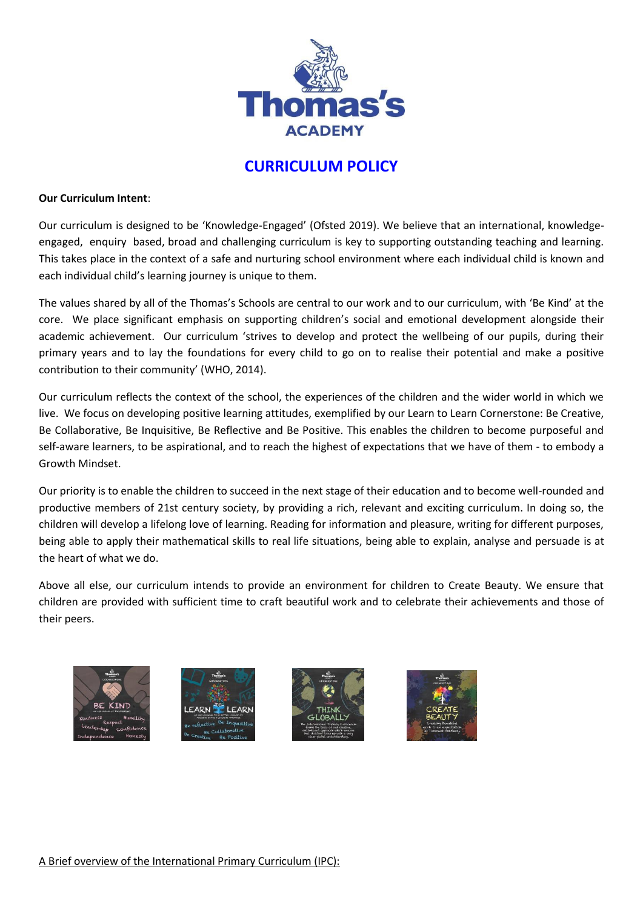

# **CURRICULUM POLICY**

#### **Our Curriculum Intent**:

Our curriculum is designed to be 'Knowledge-Engaged' (Ofsted 2019). We believe that an international, knowledgeengaged, enquiry based, broad and challenging curriculum is key to supporting outstanding teaching and learning. This takes place in the context of a safe and nurturing school environment where each individual child is known and each individual child's learning journey is unique to them.

The values shared by all of the Thomas's Schools are central to our work and to our curriculum, with 'Be Kind' at the core. We place significant emphasis on supporting children's social and emotional development alongside their academic achievement. Our curriculum 'strives to develop and protect the wellbeing of our pupils, during their primary years and to lay the foundations for every child to go on to realise their potential and make a positive contribution to their community' (WHO, 2014).

Our curriculum reflects the context of the school, the experiences of the children and the wider world in which we live. We focus on developing positive learning attitudes, exemplified by our Learn to Learn Cornerstone: Be Creative, Be Collaborative, Be Inquisitive, Be Reflective and Be Positive. This enables the children to become purposeful and self-aware learners, to be aspirational, and to reach the highest of expectations that we have of them - to embody a Growth Mindset.

Our priority is to enable the children to succeed in the next stage of their education and to become well-rounded and productive members of 21st century society, by providing a rich, relevant and exciting curriculum. In doing so, the children will develop a lifelong love of learning. Reading for information and pleasure, writing for different purposes, being able to apply their mathematical skills to real life situations, being able to explain, analyse and persuade is at the heart of what we do.

Above all else, our curriculum intends to provide an environment for children to Create Beauty. We ensure that children are provided with sufficient time to craft beautiful work and to celebrate their achievements and those of their peers.







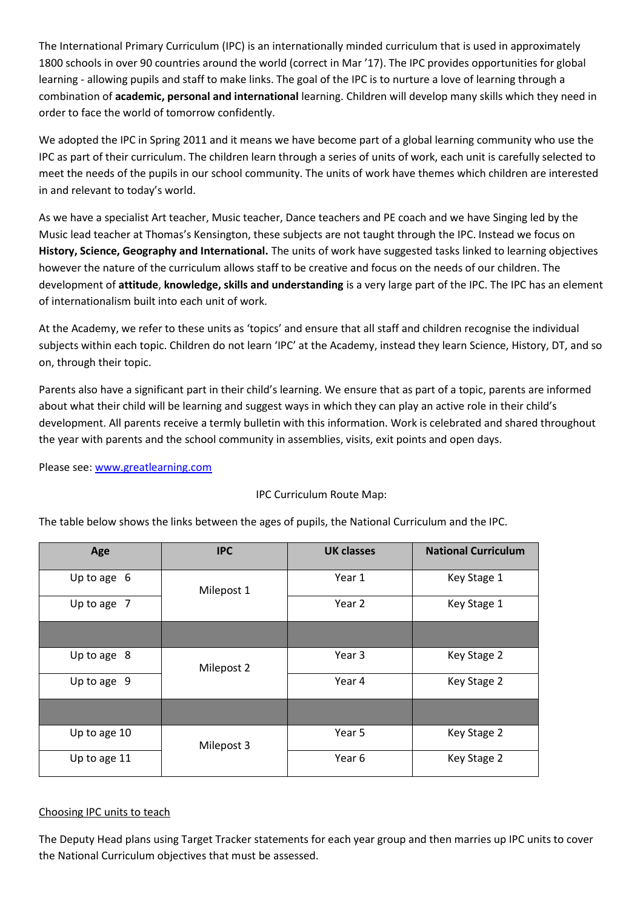The International Primary Curriculum (IPC) is an internationally minded curriculum that is used in approximately 1800 schools in over 90 countries around the world (correct in Mar '17). The IPC provides opportunities for global learning - allowing pupils and staff to make links. The goal of the IPC is to nurture a love of learning through a combination of **academic, personal and international** learning. Children will develop many skills which they need in order to face the world of tomorrow confidently.

We adopted the IPC in Spring 2011 and it means we have become part of a global learning community who use the IPC as part of their curriculum. The children learn through a series of units of work, each unit is carefully selected to meet the needs of the pupils in our school community. The units of work have themes which children are interested in and relevant to today's world.

As we have a specialist Art teacher, Music teacher, Dance teachers and PE coach and we have Singing led by the Music lead teacher at Thomas's Kensington, these subjects are not taught through the IPC. Instead we focus on **History, Science, Geography and International.** The units of work have suggested tasks linked to learning objectives however the nature of the curriculum allows staff to be creative and focus on the needs of our children. The development of **attitude**, **knowledge, skills and understanding** is a very large part of the IPC. The IPC has an element of internationalism built into each unit of work.

At the Academy, we refer to these units as 'topics' and ensure that all staff and children recognise the individual subjects within each topic. Children do not learn 'IPC' at the Academy, instead they learn Science, History, DT, and so on, through their topic.

Parents also have a significant part in their child's learning. We ensure that as part of a topic, parents are informed about what their child will be learning and suggest ways in which they can play an active role in their child's development. All parents receive a termly bulletin with this information. Work is celebrated and shared throughout the year with parents and the school community in assemblies, visits, exit points and open days.

Please see: [www.greatlearning.com](http://www.greatlearning.com/)

| Age          | <b>IPC</b> | <b>UK classes</b> | <b>National Curriculum</b> |
|--------------|------------|-------------------|----------------------------|
| Up to age 6  | Milepost 1 | Year 1            | Key Stage 1                |
| Up to age 7  |            | Year 2            | Key Stage 1                |
|              |            |                   |                            |
| Up to age 8  | Milepost 2 | Year 3            | Key Stage 2                |
| Up to age 9  |            | Year 4            | Key Stage 2                |
|              |            |                   |                            |
| Up to age 10 | Milepost 3 | Year 5            | Key Stage 2                |
| Up to age 11 |            | Year 6            | Key Stage 2                |

## IPC Curriculum Route Map:

The table below shows the links between the ages of pupils, the National Curriculum and the IPC.

## Choosing IPC units to teach

The Deputy Head plans using Target Tracker statements for each year group and then marries up IPC units to cover the National Curriculum objectives that must be assessed.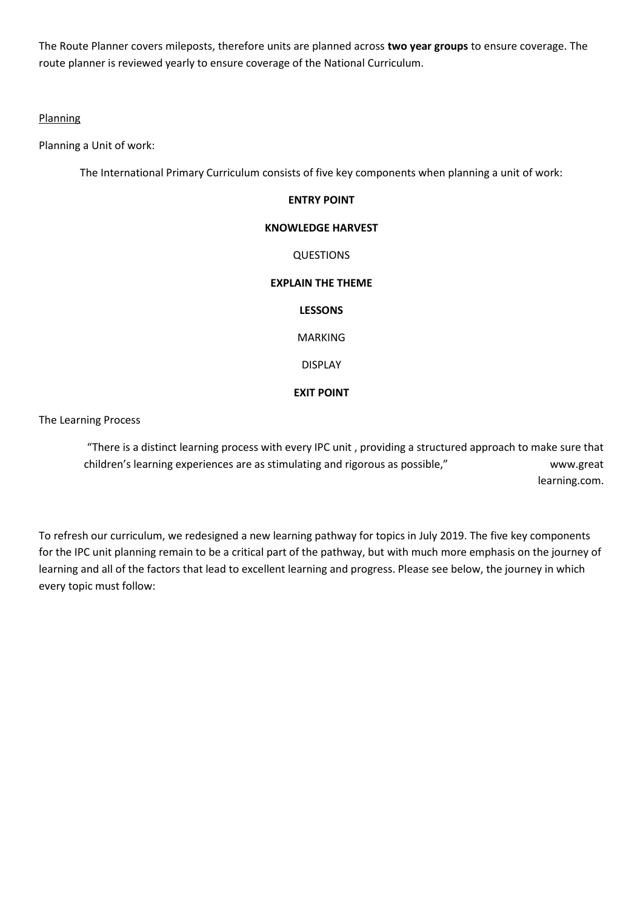The Route Planner covers mileposts, therefore units are planned across **two year groups** to ensure coverage. The route planner is reviewed yearly to ensure coverage of the National Curriculum.

## **Planning**

Planning a Unit of work:

The International Primary Curriculum consists of five key components when planning a unit of work:

## **ENTRY POINT**

#### **KNOWLEDGE HARVEST**

QUESTIONS

#### **EXPLAIN THE THEME**

#### **LESSONS**

MARKING

DISPLAY

#### **EXIT POINT**

## The Learning Process

"There is a distinct learning process with every IPC unit , providing a structured approach to make sure that children's learning experiences are as stimulating and rigorous as possible," www.great learning.com.

To refresh our curriculum, we redesigned a new learning pathway for topics in July 2019. The five key components for the IPC unit planning remain to be a critical part of the pathway, but with much more emphasis on the journey of learning and all of the factors that lead to excellent learning and progress. Please see below, the journey in which every topic must follow: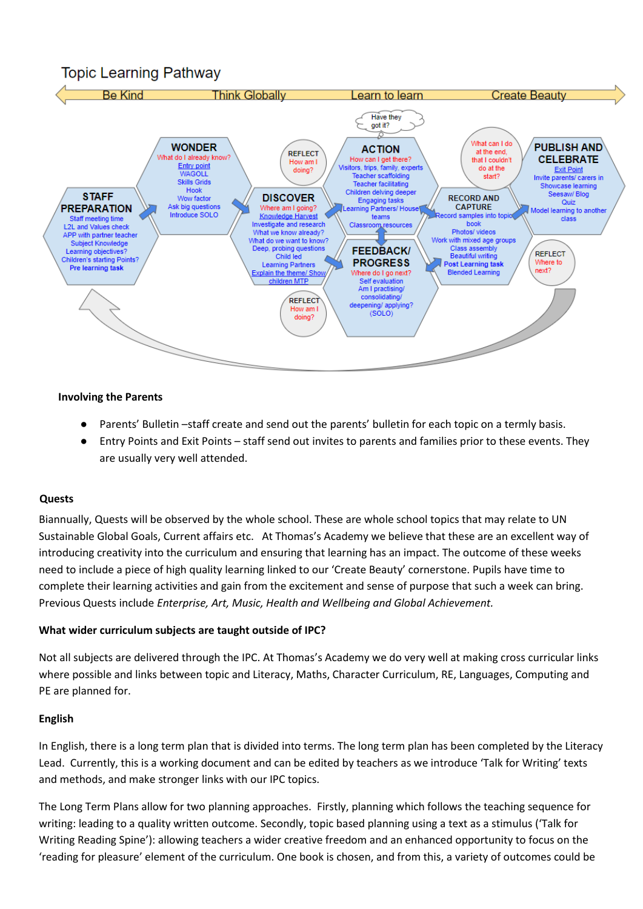## **Topic Learning Pathway**



#### **Involving the Parents**

- Parents' Bulletin –staff create and send out the parents' bulletin for each topic on a termly basis.
- Entry Points and Exit Points staff send out invites to parents and families prior to these events. They are usually very well attended.

#### **Quests**

Biannually, Quests will be observed by the whole school. These are whole school topics that may relate to UN Sustainable Global Goals, Current affairs etc. At Thomas's Academy we believe that these are an excellent way of introducing creativity into the curriculum and ensuring that learning has an impact. The outcome of these weeks need to include a piece of high quality learning linked to our 'Create Beauty' cornerstone. Pupils have time to complete their learning activities and gain from the excitement and sense of purpose that such a week can bring. Previous Quests include *Enterprise, Art, Music, Health and Wellbeing and Global Achievement.*

#### **What wider curriculum subjects are taught outside of IPC?**

Not all subjects are delivered through the IPC. At Thomas's Academy we do very well at making cross curricular links where possible and links between topic and Literacy, Maths, Character Curriculum, RE, Languages, Computing and PE are planned for.

#### **English**

In English, there is a long term plan that is divided into terms. The long term plan has been completed by the Literacy Lead. Currently, this is a working document and can be edited by teachers as we introduce 'Talk for Writing' texts and methods, and make stronger links with our IPC topics.

The Long Term Plans allow for two planning approaches. Firstly, planning which follows the teaching sequence for writing: leading to a quality written outcome. Secondly, topic based planning using a text as a stimulus ('Talk for Writing Reading Spine'): allowing teachers a wider creative freedom and an enhanced opportunity to focus on the 'reading for pleasure' element of the curriculum. One book is chosen, and from this, a variety of outcomes could be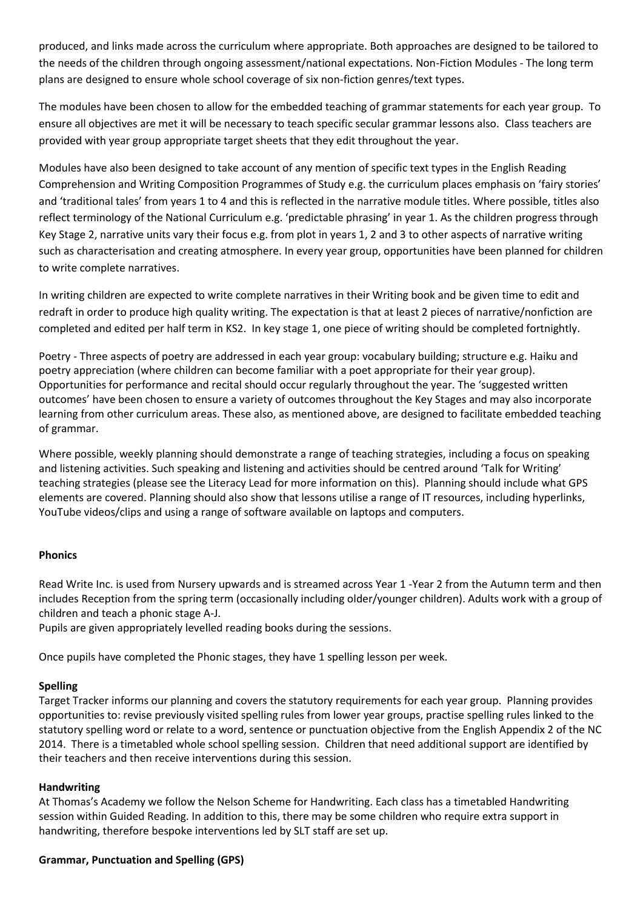produced, and links made across the curriculum where appropriate. Both approaches are designed to be tailored to the needs of the children through ongoing assessment/national expectations. Non-Fiction Modules - The long term plans are designed to ensure whole school coverage of six non-fiction genres/text types.

The modules have been chosen to allow for the embedded teaching of grammar statements for each year group. To ensure all objectives are met it will be necessary to teach specific secular grammar lessons also. Class teachers are provided with year group appropriate target sheets that they edit throughout the year.

Modules have also been designed to take account of any mention of specific text types in the English Reading Comprehension and Writing Composition Programmes of Study e.g. the curriculum places emphasis on 'fairy stories' and 'traditional tales' from years 1 to 4 and this is reflected in the narrative module titles. Where possible, titles also reflect terminology of the National Curriculum e.g. 'predictable phrasing' in year 1. As the children progress through Key Stage 2, narrative units vary their focus e.g. from plot in years 1, 2 and 3 to other aspects of narrative writing such as characterisation and creating atmosphere. In every year group, opportunities have been planned for children to write complete narratives.

In writing children are expected to write complete narratives in their Writing book and be given time to edit and redraft in order to produce high quality writing. The expectation is that at least 2 pieces of narrative/nonfiction are completed and edited per half term in KS2. In key stage 1, one piece of writing should be completed fortnightly.

Poetry - Three aspects of poetry are addressed in each year group: vocabulary building; structure e.g. Haiku and poetry appreciation (where children can become familiar with a poet appropriate for their year group). Opportunities for performance and recital should occur regularly throughout the year. The 'suggested written outcomes' have been chosen to ensure a variety of outcomes throughout the Key Stages and may also incorporate learning from other curriculum areas. These also, as mentioned above, are designed to facilitate embedded teaching of grammar.

Where possible, weekly planning should demonstrate a range of teaching strategies, including a focus on speaking and listening activities. Such speaking and listening and activities should be centred around 'Talk for Writing' teaching strategies (please see the Literacy Lead for more information on this). Planning should include what GPS elements are covered. Planning should also show that lessons utilise a range of IT resources, including hyperlinks, YouTube videos/clips and using a range of software available on laptops and computers.

## **Phonics**

Read Write Inc. is used from Nursery upwards and is streamed across Year 1 -Year 2 from the Autumn term and then includes Reception from the spring term (occasionally including older/younger children). Adults work with a group of children and teach a phonic stage A-J.

Pupils are given appropriately levelled reading books during the sessions.

Once pupils have completed the Phonic stages, they have 1 spelling lesson per week.

#### **Spelling**

Target Tracker informs our planning and covers the statutory requirements for each year group. Planning provides opportunities to: revise previously visited spelling rules from lower year groups, practise spelling rules linked to the statutory spelling word or relate to a word, sentence or punctuation objective from the English Appendix 2 of the NC 2014. There is a timetabled whole school spelling session. Children that need additional support are identified by their teachers and then receive interventions during this session.

## **Handwriting**

At Thomas's Academy we follow the Nelson Scheme for Handwriting. Each class has a timetabled Handwriting session within Guided Reading. In addition to this, there may be some children who require extra support in handwriting, therefore bespoke interventions led by SLT staff are set up.

## **Grammar, Punctuation and Spelling (GPS)**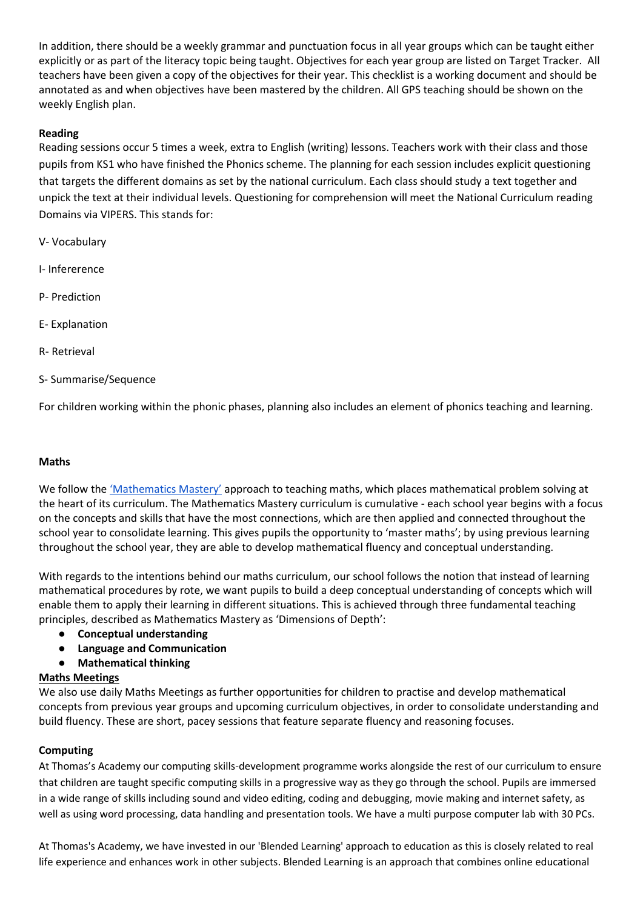In addition, there should be a weekly grammar and punctuation focus in all year groups which can be taught either explicitly or as part of the literacy topic being taught. Objectives for each year group are listed on Target Tracker. All teachers have been given a copy of the objectives for their year. This checklist is a working document and should be annotated as and when objectives have been mastered by the children. All GPS teaching should be shown on the weekly English plan.

## **Reading**

Reading sessions occur 5 times a week, extra to English (writing) lessons. Teachers work with their class and those pupils from KS1 who have finished the Phonics scheme. The planning for each session includes explicit questioning that targets the different domains as set by the national curriculum. Each class should study a text together and unpick the text at their individual levels. Questioning for comprehension will meet the National Curriculum reading Domains via VIPERS. This stands for:

- V- Vocabulary
- I- Infererence
- P- Prediction
- E- Explanation
- R- Retrieval
- S- Summarise/Sequence

For children working within the phonic phases, planning also includes an element of phonics teaching and learning.

#### **Maths**

We follow the ['Mathematics Mastery'](http://toolkit.mathematicsmastery.org/) approach to teaching maths, which places mathematical problem solving at the heart of its curriculum. The Mathematics Mastery curriculum is cumulative - each school year begins with a focus on the concepts and skills that have the most connections, which are then applied and connected throughout the school year to consolidate learning. This gives pupils the opportunity to 'master maths'; by using previous learning throughout the school year, they are able to develop mathematical fluency and conceptual understanding.

With regards to the intentions behind our maths curriculum, our school follows the notion that instead of learning mathematical procedures by rote, we want pupils to build a deep conceptual understanding of concepts which will enable them to apply their learning in different situations. This is achieved through three fundamental teaching principles, described as Mathematics Mastery as 'Dimensions of Depth':

- **Conceptual understanding**
- **Language and Communication**
- **Mathematical thinking**

## **Maths Meetings**

We also use daily Maths Meetings as further opportunities for children to practise and develop mathematical concepts from previous year groups and upcoming curriculum objectives, in order to consolidate understanding and build fluency. These are short, pacey sessions that feature separate fluency and reasoning focuses.

## **Computing**

At Thomas's Academy our computing skills-development programme works alongside the rest of our curriculum to ensure that children are taught specific computing skills in a progressive way as they go through the school. Pupils are immersed in a wide range of skills including sound and video editing, coding and debugging, movie making and internet safety, as well as using word processing, data handling and presentation tools. We have a multi purpose computer lab with 30 PCs.

At Thomas's Academy, we have invested in our 'Blended Learning' approach to education as this is closely related to real life experience and enhances work in other subjects. Blended Learning is an approach that combines online educational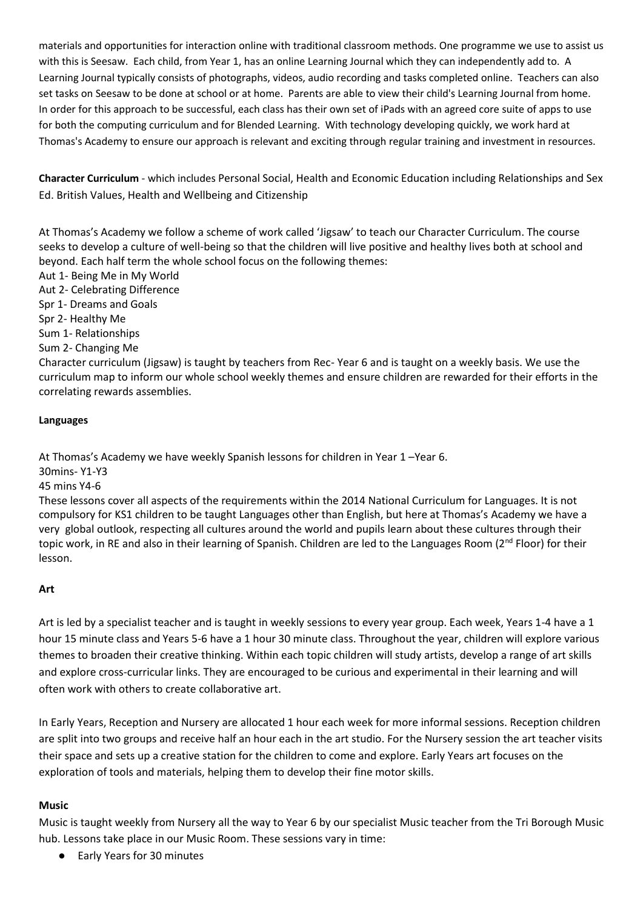materials and opportunities for interaction online with traditional classroom methods. One programme we use to assist us with this is Seesaw. Each child, from Year 1, has an online Learning Journal which they can independently add to. A Learning Journal typically consists of photographs, videos, audio recording and tasks completed online. Teachers can also set tasks on Seesaw to be done at school or at home. Parents are able to view their child's Learning Journal from home. In order for this approach to be successful, each class has their own set of iPads with an agreed core suite of apps to use for both the computing curriculum and for Blended Learning. With technology developing quickly, we work hard at Thomas's Academy to ensure our approach is relevant and exciting through regular training and investment in resources.

**Character Curriculum** - which includes Personal Social, Health and Economic Education including Relationships and Sex Ed. British Values, Health and Wellbeing and Citizenship

At Thomas's Academy we follow a scheme of work called 'Jigsaw' to teach our Character Curriculum. The course seeks to develop a culture of well-being so that the children will live positive and healthy lives both at school and beyond. Each half term the whole school focus on the following themes:

Aut 1- Being Me in My World Aut 2- Celebrating Difference Spr 1- Dreams and Goals Spr 2- Healthy Me Sum 1- Relationships Sum 2- Changing Me Character curriculum (Jigsaw) is taught by teachers from Rec- Year 6 and is taught on a weekly basis. We use the curriculum map to inform our whole school weekly themes and ensure children are rewarded for their efforts in the correlating rewards assemblies.

#### **Languages**

At Thomas's Academy we have weekly Spanish lessons for children in Year 1 –Year 6.

30mins- Y1-Y3

45 mins Y4-6

These lessons cover all aspects of the requirements within the 2014 National Curriculum for Languages. It is not compulsory for KS1 children to be taught Languages other than English, but here at Thomas's Academy we have a very global outlook, respecting all cultures around the world and pupils learn about these cultures through their topic work, in RE and also in their learning of Spanish. Children are led to the Languages Room ( $2^{nd}$  Floor) for their lesson.

## **Art**

Art is led by a specialist teacher and is taught in weekly sessions to every year group. Each week, Years 1-4 have a 1 hour 15 minute class and Years 5-6 have a 1 hour 30 minute class. Throughout the year, children will explore various themes to broaden their creative thinking. Within each topic children will study artists, develop a range of art skills and explore cross-curricular links. They are encouraged to be curious and experimental in their learning and will often work with others to create collaborative art.

In Early Years, Reception and Nursery are allocated 1 hour each week for more informal sessions. Reception children are split into two groups and receive half an hour each in the art studio. For the Nursery session the art teacher visits their space and sets up a creative station for the children to come and explore. Early Years art focuses on the exploration of tools and materials, helping them to develop their fine motor skills.

## **Music**

Music is taught weekly from Nursery all the way to Year 6 by our specialist Music teacher from the Tri Borough Music hub. Lessons take place in our Music Room. These sessions vary in time:

● Early Years for 30 minutes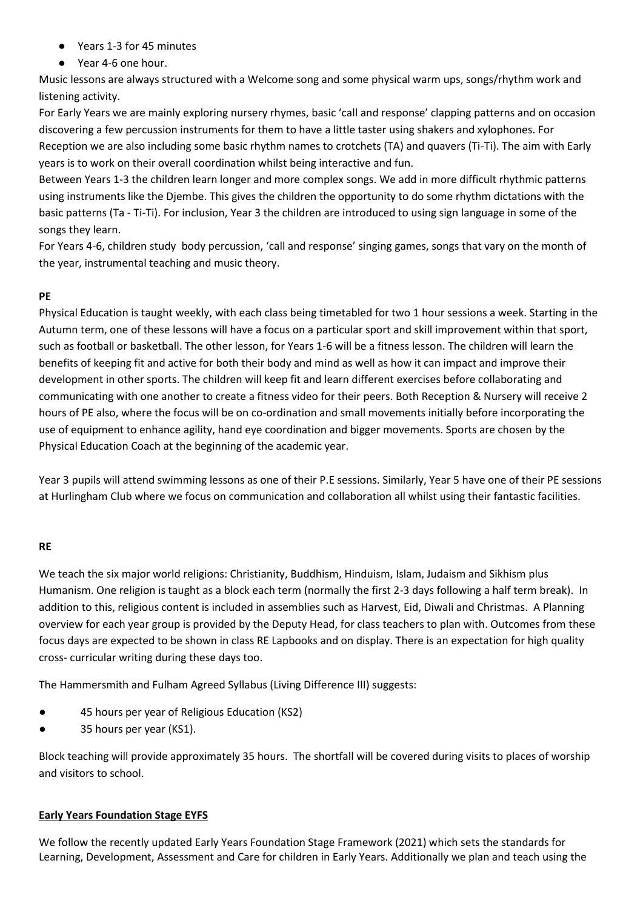- Years 1-3 for 45 minutes
- Year 4-6 one hour.

Music lessons are always structured with a Welcome song and some physical warm ups, songs/rhythm work and listening activity.

For Early Years we are mainly exploring nursery rhymes, basic 'call and response' clapping patterns and on occasion discovering a few percussion instruments for them to have a little taster using shakers and xylophones. For Reception we are also including some basic rhythm names to crotchets (TA) and quavers (Ti-Ti). The aim with Early years is to work on their overall coordination whilst being interactive and fun.

Between Years 1-3 the children learn longer and more complex songs. We add in more difficult rhythmic patterns using instruments like the Djembe. This gives the children the opportunity to do some rhythm dictations with the basic patterns (Ta - Ti-Ti). For inclusion, Year 3 the children are introduced to using sign language in some of the songs they learn.

For Years 4-6, children study body percussion, 'call and response' singing games, songs that vary on the month of the year, instrumental teaching and music theory.

## **PE**

Physical Education is taught weekly, with each class being timetabled for two 1 hour sessions a week. Starting in the Autumn term, one of these lessons will have a focus on a particular sport and skill improvement within that sport, such as football or basketball. The other lesson, for Years 1-6 will be a fitness lesson. The children will learn the benefits of keeping fit and active for both their body and mind as well as how it can impact and improve their development in other sports. The children will keep fit and learn different exercises before collaborating and communicating with one another to create a fitness video for their peers. Both Reception & Nursery will receive 2 hours of PE also, where the focus will be on co-ordination and small movements initially before incorporating the use of equipment to enhance agility, hand eye coordination and bigger movements. Sports are chosen by the Physical Education Coach at the beginning of the academic year.

Year 3 pupils will attend swimming lessons as one of their P.E sessions. Similarly, Year 5 have one of their PE sessions at Hurlingham Club where we focus on communication and collaboration all whilst using their fantastic facilities.

## **RE**

We teach the six major world religions: Christianity, Buddhism, Hinduism, Islam, Judaism and Sikhism plus Humanism. One religion is taught as a block each term (normally the first 2-3 days following a half term break). In addition to this, religious content is included in assemblies such as Harvest, Eid, Diwali and Christmas. A Planning overview for each year group is provided by the Deputy Head, for class teachers to plan with. Outcomes from these focus days are expected to be shown in class RE Lapbooks and on display. There is an expectation for high quality cross- curricular writing during these days too.

The Hammersmith and Fulham Agreed Syllabus (Living Difference III) suggests:

- 45 hours per year of Religious Education (KS2)
- 35 hours per year (KS1).

Block teaching will provide approximately 35 hours. The shortfall will be covered during visits to places of worship and visitors to school.

## **Early Years Foundation Stage EYFS**

We follow the recently updated Early Years Foundation Stage Framework (2021) which sets the standards for Learning, Development, Assessment and Care for children in Early Years. Additionally we plan and teach using the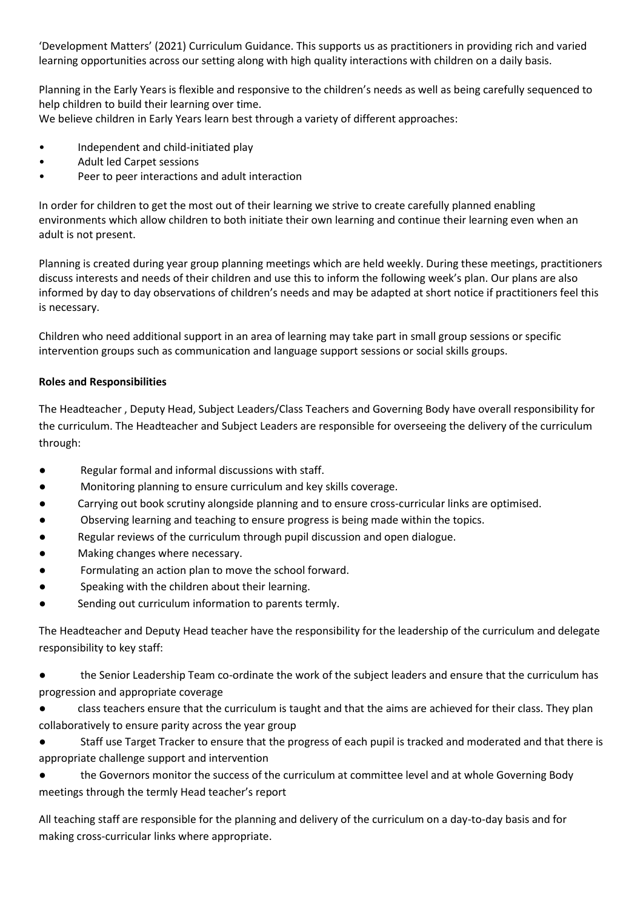'Development Matters' (2021) Curriculum Guidance. This supports us as practitioners in providing rich and varied learning opportunities across our setting along with high quality interactions with children on a daily basis.

Planning in the Early Years is flexible and responsive to the children's needs as well as being carefully sequenced to help children to build their learning over time.

We believe children in Early Years learn best through a variety of different approaches:

- Independent and child-initiated play
- Adult led Carpet sessions
- Peer to peer interactions and adult interaction

In order for children to get the most out of their learning we strive to create carefully planned enabling environments which allow children to both initiate their own learning and continue their learning even when an adult is not present.

Planning is created during year group planning meetings which are held weekly. During these meetings, practitioners discuss interests and needs of their children and use this to inform the following week's plan. Our plans are also informed by day to day observations of children's needs and may be adapted at short notice if practitioners feel this is necessary.

Children who need additional support in an area of learning may take part in small group sessions or specific intervention groups such as communication and language support sessions or social skills groups.

## **Roles and Responsibilities**

The Headteacher , Deputy Head, Subject Leaders/Class Teachers and Governing Body have overall responsibility for the curriculum. The Headteacher and Subject Leaders are responsible for overseeing the delivery of the curriculum through:

- Regular formal and informal discussions with staff.
- Monitoring planning to ensure curriculum and key skills coverage.
- Carrying out book scrutiny alongside planning and to ensure cross-curricular links are optimised.
- Observing learning and teaching to ensure progress is being made within the topics.
- Regular reviews of the curriculum through pupil discussion and open dialogue.
- Making changes where necessary.
- Formulating an action plan to move the school forward.
- Speaking with the children about their learning.
- Sending out curriculum information to parents termly.

The Headteacher and Deputy Head teacher have the responsibility for the leadership of the curriculum and delegate responsibility to key staff:

- the Senior Leadership Team co-ordinate the work of the subject leaders and ensure that the curriculum has progression and appropriate coverage
- class teachers ensure that the curriculum is taught and that the aims are achieved for their class. They plan collaboratively to ensure parity across the year group

Staff use Target Tracker to ensure that the progress of each pupil is tracked and moderated and that there is appropriate challenge support and intervention

the Governors monitor the success of the curriculum at committee level and at whole Governing Body meetings through the termly Head teacher's report

All teaching staff are responsible for the planning and delivery of the curriculum on a day-to-day basis and for making cross-curricular links where appropriate.